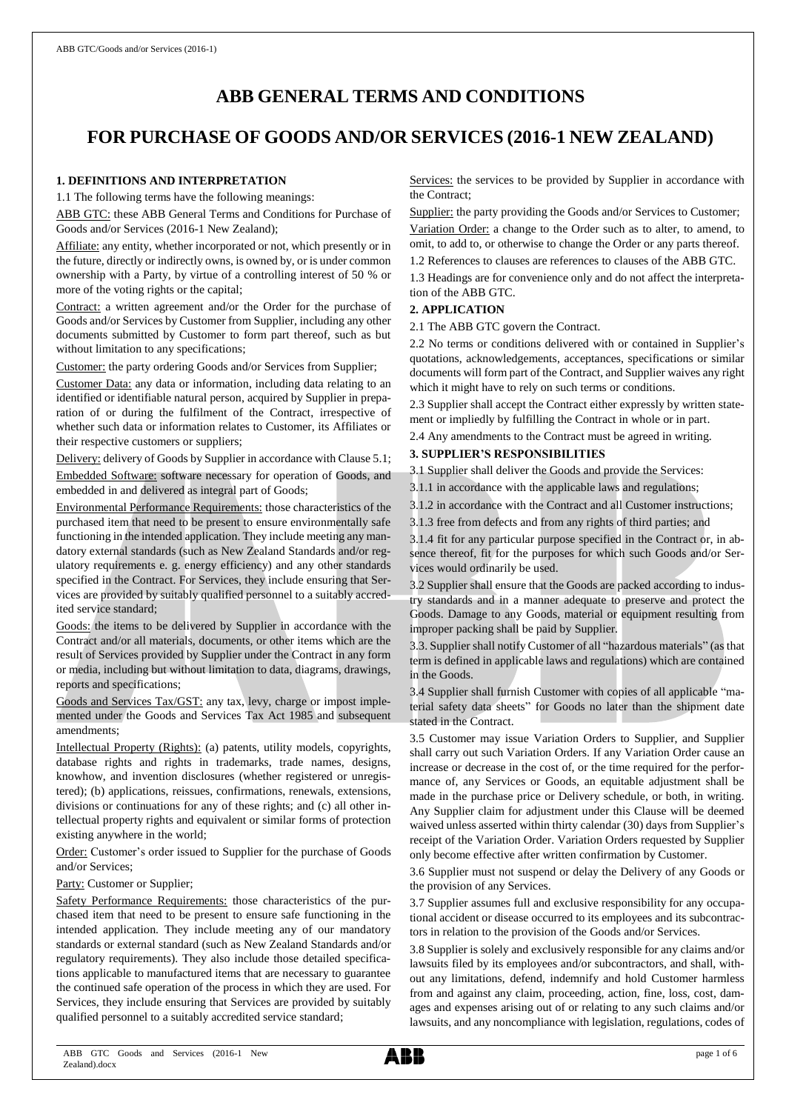# **ABB GENERAL TERMS AND CONDITIONS**

# **FOR PURCHASE OF GOODS AND/OR SERVICES (2016-1 NEW ZEALAND)**

## **1. DEFINITIONS AND INTERPRETATION**

1.1 The following terms have the following meanings:

ABB GTC: these ABB General Terms and Conditions for Purchase of Goods and/or Services (2016-1 New Zealand);

Affiliate: any entity, whether incorporated or not, which presently or in the future, directly or indirectly owns, is owned by, or is under common ownership with a Party, by virtue of a controlling interest of 50 % or more of the voting rights or the capital;

Contract: a written agreement and/or the Order for the purchase of Goods and/or Services by Customer from Supplier, including any other documents submitted by Customer to form part thereof, such as but without limitation to any specifications;

Customer: the party ordering Goods and/or Services from Supplier;

Customer Data: any data or information, including data relating to an identified or identifiable natural person, acquired by Supplier in preparation of or during the fulfilment of the Contract, irrespective of whether such data or information relates to Customer, its Affiliates or their respective customers or suppliers;

Delivery: delivery of Goods by Supplier in accordance with Clause 5.1; Embedded Software: software necessary for operation of Goods, and embedded in and delivered as integral part of Goods;

Environmental Performance Requirements: those characteristics of the purchased item that need to be present to ensure environmentally safe functioning in the intended application. They include meeting any mandatory external standards (such as New Zealand Standards and/or regulatory requirements e. g. energy efficiency) and any other standards specified in the Contract. For Services, they include ensuring that Services are provided by suitably qualified personnel to a suitably accredited service standard;

Goods: the items to be delivered by Supplier in accordance with the Contract and/or all materials, documents, or other items which are the result of Services provided by Supplier under the Contract in any form or media, including but without limitation to data, diagrams, drawings, reports and specifications;

Goods and Services Tax/GST: any tax, levy, charge or impost implemented under the Goods and Services Tax Act 1985 and subsequent amendments;

Intellectual Property (Rights): (a) patents, utility models, copyrights, database rights and rights in trademarks, trade names, designs, knowhow, and invention disclosures (whether registered or unregistered); (b) applications, reissues, confirmations, renewals, extensions, divisions or continuations for any of these rights; and (c) all other intellectual property rights and equivalent or similar forms of protection existing anywhere in the world;

Order: Customer's order issued to Supplier for the purchase of Goods and/or Services;

Party: Customer or Supplier;

Safety Performance Requirements: those characteristics of the purchased item that need to be present to ensure safe functioning in the intended application. They include meeting any of our mandatory standards or external standard (such as New Zealand Standards and/or regulatory requirements). They also include those detailed specifications applicable to manufactured items that are necessary to guarantee the continued safe operation of the process in which they are used. For Services, they include ensuring that Services are provided by suitably qualified personnel to a suitably accredited service standard;

Services: the services to be provided by Supplier in accordance with the Contract;

Supplier: the party providing the Goods and/or Services to Customer;

Variation Order: a change to the Order such as to alter, to amend, to omit, to add to, or otherwise to change the Order or any parts thereof.

1.2 References to clauses are references to clauses of the ABB GTC.

1.3 Headings are for convenience only and do not affect the interpretation of the ABB GTC.

# **2. APPLICATION**

2.1 The ABB GTC govern the Contract.

2.2 No terms or conditions delivered with or contained in Supplier's quotations, acknowledgements, acceptances, specifications or similar documents will form part of the Contract, and Supplier waives any right which it might have to rely on such terms or conditions.

2.3 Supplier shall accept the Contract either expressly by written statement or impliedly by fulfilling the Contract in whole or in part.

2.4 Any amendments to the Contract must be agreed in writing.

# **3. SUPPLIER'S RESPONSIBILITIES**

3.1 Supplier shall deliver the Goods and provide the Services:

3.1.1 in accordance with the applicable laws and regulations;

3.1.2 in accordance with the Contract and all Customer instructions;

3.1.3 free from defects and from any rights of third parties; and

3.1.4 fit for any particular purpose specified in the Contract or, in absence thereof, fit for the purposes for which such Goods and/or Services would ordinarily be used.

3.2 Supplier shall ensure that the Goods are packed according to industry standards and in a manner adequate to preserve and protect the Goods. Damage to any Goods, material or equipment resulting from improper packing shall be paid by Supplier.

3.3. Supplier shall notify Customer of all "hazardous materials" (as that term is defined in applicable laws and regulations) which are contained in the Goods.

3.4 Supplier shall furnish Customer with copies of all applicable "material safety data sheets" for Goods no later than the shipment date stated in the Contract.

3.5 Customer may issue Variation Orders to Supplier, and Supplier shall carry out such Variation Orders. If any Variation Order cause an increase or decrease in the cost of, or the time required for the performance of, any Services or Goods, an equitable adjustment shall be made in the purchase price or Delivery schedule, or both, in writing. Any Supplier claim for adjustment under this Clause will be deemed waived unless asserted within thirty calendar (30) days from Supplier's receipt of the Variation Order. Variation Orders requested by Supplier only become effective after written confirmation by Customer.

3.6 Supplier must not suspend or delay the Delivery of any Goods or the provision of any Services.

3.7 Supplier assumes full and exclusive responsibility for any occupational accident or disease occurred to its employees and its subcontractors in relation to the provision of the Goods and/or Services.

3.8 Supplier is solely and exclusively responsible for any claims and/or lawsuits filed by its employees and/or subcontractors, and shall, without any limitations, defend, indemnify and hold Customer harmless from and against any claim, proceeding, action, fine, loss, cost, damages and expenses arising out of or relating to any such claims and/or lawsuits, and any noncompliance with legislation, regulations, codes of

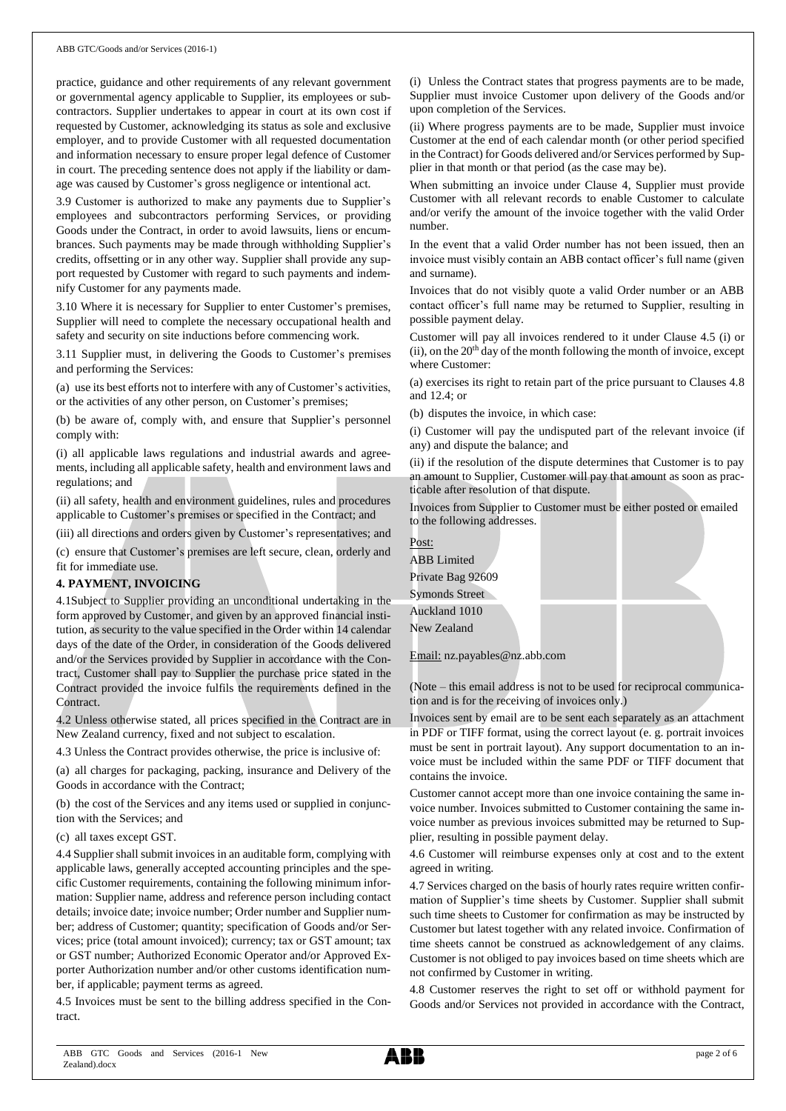practice, guidance and other requirements of any relevant government or governmental agency applicable to Supplier, its employees or subcontractors. Supplier undertakes to appear in court at its own cost if requested by Customer, acknowledging its status as sole and exclusive employer, and to provide Customer with all requested documentation and information necessary to ensure proper legal defence of Customer in court. The preceding sentence does not apply if the liability or damage was caused by Customer's gross negligence or intentional act.

3.9 Customer is authorized to make any payments due to Supplier's employees and subcontractors performing Services, or providing Goods under the Contract, in order to avoid lawsuits, liens or encumbrances. Such payments may be made through withholding Supplier's credits, offsetting or in any other way. Supplier shall provide any support requested by Customer with regard to such payments and indemnify Customer for any payments made.

3.10 Where it is necessary for Supplier to enter Customer's premises, Supplier will need to complete the necessary occupational health and safety and security on site inductions before commencing work.

3.11 Supplier must, in delivering the Goods to Customer's premises and performing the Services:

(a) use its best efforts not to interfere with any of Customer's activities, or the activities of any other person, on Customer's premises;

(b) be aware of, comply with, and ensure that Supplier's personnel comply with:

(i) all applicable laws regulations and industrial awards and agreements, including all applicable safety, health and environment laws and regulations; and

(ii) all safety, health and environment guidelines, rules and procedures applicable to Customer's premises or specified in the Contract; and

(iii) all directions and orders given by Customer's representatives; and

(c) ensure that Customer's premises are left secure, clean, orderly and fit for immediate use.

#### **4. PAYMENT, INVOICING**

4.1Subject to Supplier providing an unconditional undertaking in the form approved by Customer, and given by an approved financial institution, as security to the value specified in the Order within 14 calendar days of the date of the Order, in consideration of the Goods delivered and/or the Services provided by Supplier in accordance with the Contract, Customer shall pay to Supplier the purchase price stated in the Contract provided the invoice fulfils the requirements defined in the Contract.

4.2 Unless otherwise stated, all prices specified in the Contract are in New Zealand currency, fixed and not subject to escalation.

4.3 Unless the Contract provides otherwise, the price is inclusive of:

(a) all charges for packaging, packing, insurance and Delivery of the Goods in accordance with the Contract;

(b) the cost of the Services and any items used or supplied in conjunction with the Services; and

(c) all taxes except GST.

4.4 Supplier shall submit invoices in an auditable form, complying with applicable laws, generally accepted accounting principles and the specific Customer requirements, containing the following minimum information: Supplier name, address and reference person including contact details; invoice date; invoice number; Order number and Supplier number; address of Customer; quantity; specification of Goods and/or Services; price (total amount invoiced); currency; tax or GST amount; tax or GST number; Authorized Economic Operator and/or Approved Exporter Authorization number and/or other customs identification number, if applicable; payment terms as agreed.

4.5 Invoices must be sent to the billing address specified in the Contract.

(i) Unless the Contract states that progress payments are to be made, Supplier must invoice Customer upon delivery of the Goods and/or upon completion of the Services.

(ii) Where progress payments are to be made, Supplier must invoice Customer at the end of each calendar month (or other period specified in the Contract) for Goods delivered and/or Services performed by Supplier in that month or that period (as the case may be).

When submitting an invoice under Clause 4, Supplier must provide Customer with all relevant records to enable Customer to calculate and/or verify the amount of the invoice together with the valid Order number.

In the event that a valid Order number has not been issued, then an invoice must visibly contain an ABB contact officer's full name (given and surname).

Invoices that do not visibly quote a valid Order number or an ABB contact officer's full name may be returned to Supplier, resulting in possible payment delay.

Customer will pay all invoices rendered to it under Clause 4.5 (i) or (ii), on the  $20<sup>th</sup>$  day of the month following the month of invoice, except where Customer:

(a) exercises its right to retain part of the price pursuant to Clauses 4.8 and 12.4; or

(b) disputes the invoice, in which case:

(i) Customer will pay the undisputed part of the relevant invoice (if any) and dispute the balance; and

(ii) if the resolution of the dispute determines that Customer is to pay an amount to Supplier, Customer will pay that amount as soon as practicable after resolution of that dispute.

Invoices from Supplier to Customer must be either posted or emailed to the following addresses.

| Post:                 |  |  |
|-----------------------|--|--|
| <b>ABB</b> Limited    |  |  |
| Private Bag 92609     |  |  |
| <b>Symonds Street</b> |  |  |
| Auckland 1010         |  |  |
| New Zealand           |  |  |
|                       |  |  |

Email: nz.payables@nz.abb.com

(Note – this email address is not to be used for reciprocal communication and is for the receiving of invoices only.)

Invoices sent by email are to be sent each separately as an attachment in PDF or TIFF format, using the correct layout (e. g. portrait invoices must be sent in portrait layout). Any support documentation to an invoice must be included within the same PDF or TIFF document that contains the invoice.

Customer cannot accept more than one invoice containing the same invoice number. Invoices submitted to Customer containing the same invoice number as previous invoices submitted may be returned to Supplier, resulting in possible payment delay.

4.6 Customer will reimburse expenses only at cost and to the extent agreed in writing.

4.7 Services charged on the basis of hourly rates require written confirmation of Supplier's time sheets by Customer. Supplier shall submit such time sheets to Customer for confirmation as may be instructed by Customer but latest together with any related invoice. Confirmation of time sheets cannot be construed as acknowledgement of any claims. Customer is not obliged to pay invoices based on time sheets which are not confirmed by Customer in writing.

4.8 Customer reserves the right to set off or withhold payment for Goods and/or Services not provided in accordance with the Contract,

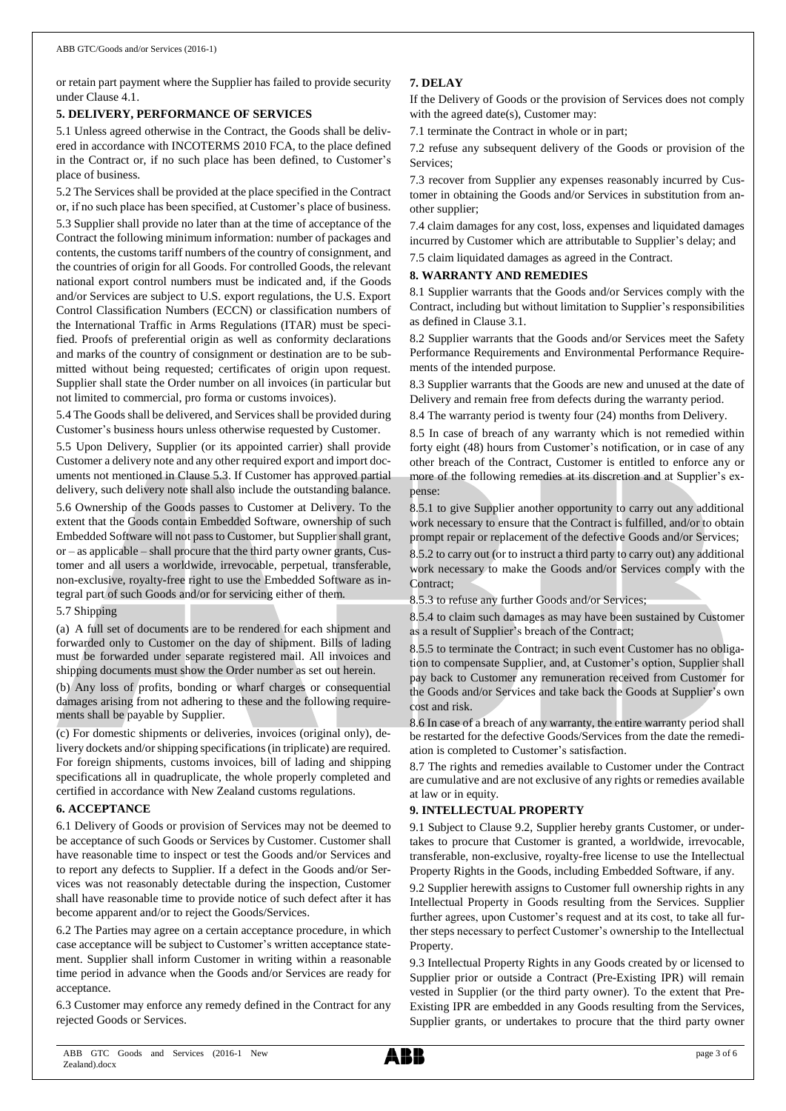or retain part payment where the Supplier has failed to provide security under Clause 4.1.

#### **5. DELIVERY, PERFORMANCE OF SERVICES**

5.1 Unless agreed otherwise in the Contract, the Goods shall be delivered in accordance with INCOTERMS 2010 FCA, to the place defined in the Contract or, if no such place has been defined, to Customer's place of business.

5.2 The Services shall be provided at the place specified in the Contract or, if no such place has been specified, at Customer's place of business. 5.3 Supplier shall provide no later than at the time of acceptance of the Contract the following minimum information: number of packages and contents, the customs tariff numbers of the country of consignment, and the countries of origin for all Goods. For controlled Goods, the relevant national export control numbers must be indicated and, if the Goods and/or Services are subject to U.S. export regulations, the U.S. Export Control Classification Numbers (ECCN) or classification numbers of the International Traffic in Arms Regulations (ITAR) must be specified. Proofs of preferential origin as well as conformity declarations and marks of the country of consignment or destination are to be submitted without being requested; certificates of origin upon request. Supplier shall state the Order number on all invoices (in particular but not limited to commercial, pro forma or customs invoices).

5.4 The Goods shall be delivered, and Services shall be provided during Customer's business hours unless otherwise requested by Customer.

5.5 Upon Delivery, Supplier (or its appointed carrier) shall provide Customer a delivery note and any other required export and import documents not mentioned in Clause 5.3. If Customer has approved partial delivery, such delivery note shall also include the outstanding balance.

5.6 Ownership of the Goods passes to Customer at Delivery. To the extent that the Goods contain Embedded Software, ownership of such Embedded Software will not passto Customer, but Supplier shall grant, or – as applicable – shall procure that the third party owner grants, Customer and all users a worldwide, irrevocable, perpetual, transferable, non-exclusive, royalty-free right to use the Embedded Software as integral part of such Goods and/or for servicing either of them.

5.7 Shipping

(a) A full set of documents are to be rendered for each shipment and forwarded only to Customer on the day of shipment. Bills of lading must be forwarded under separate registered mail. All invoices and shipping documents must show the Order number as set out herein.

(b) Any loss of profits, bonding or wharf charges or consequential damages arising from not adhering to these and the following requirements shall be payable by Supplier.

(c) For domestic shipments or deliveries, invoices (original only), delivery dockets and/or shipping specifications (in triplicate) are required. For foreign shipments, customs invoices, bill of lading and shipping specifications all in quadruplicate, the whole properly completed and certified in accordance with New Zealand customs regulations.

#### **6. ACCEPTANCE**

6.1 Delivery of Goods or provision of Services may not be deemed to be acceptance of such Goods or Services by Customer. Customer shall have reasonable time to inspect or test the Goods and/or Services and to report any defects to Supplier. If a defect in the Goods and/or Services was not reasonably detectable during the inspection, Customer shall have reasonable time to provide notice of such defect after it has become apparent and/or to reject the Goods/Services.

6.2 The Parties may agree on a certain acceptance procedure, in which case acceptance will be subject to Customer's written acceptance statement. Supplier shall inform Customer in writing within a reasonable time period in advance when the Goods and/or Services are ready for acceptance.

6.3 Customer may enforce any remedy defined in the Contract for any rejected Goods or Services.

# **7. DELAY**

If the Delivery of Goods or the provision of Services does not comply with the agreed date(s), Customer may:

7.1 terminate the Contract in whole or in part;

7.2 refuse any subsequent delivery of the Goods or provision of the Services;

7.3 recover from Supplier any expenses reasonably incurred by Customer in obtaining the Goods and/or Services in substitution from another supplier;

7.4 claim damages for any cost, loss, expenses and liquidated damages incurred by Customer which are attributable to Supplier's delay; and

7.5 claim liquidated damages as agreed in the Contract.

#### **8. WARRANTY AND REMEDIES**

8.1 Supplier warrants that the Goods and/or Services comply with the Contract, including but without limitation to Supplier's responsibilities as defined in Clause 3.1.

8.2 Supplier warrants that the Goods and/or Services meet the Safety Performance Requirements and Environmental Performance Requirements of the intended purpose.

8.3 Supplier warrants that the Goods are new and unused at the date of Delivery and remain free from defects during the warranty period.

8.4 The warranty period is twenty four (24) months from Delivery.

8.5 In case of breach of any warranty which is not remedied within forty eight (48) hours from Customer's notification, or in case of any other breach of the Contract, Customer is entitled to enforce any or more of the following remedies at its discretion and at Supplier's expense:

8.5.1 to give Supplier another opportunity to carry out any additional work necessary to ensure that the Contract is fulfilled, and/or to obtain prompt repair or replacement of the defective Goods and/or Services;

8.5.2 to carry out (or to instruct a third party to carry out) any additional work necessary to make the Goods and/or Services comply with the Contract;

8.5.3 to refuse any further Goods and/or Services;

8.5.4 to claim such damages as may have been sustained by Customer as a result of Supplier's breach of the Contract;

8.5.5 to terminate the Contract; in such event Customer has no obligation to compensate Supplier, and, at Customer's option, Supplier shall pay back to Customer any remuneration received from Customer for the Goods and/or Services and take back the Goods at Supplier's own cost and risk.

8.6 In case of a breach of any warranty, the entire warranty period shall be restarted for the defective Goods/Services from the date the remediation is completed to Customer's satisfaction.

8.7 The rights and remedies available to Customer under the Contract are cumulative and are not exclusive of any rights or remedies available at law or in equity.

# **9. INTELLECTUAL PROPERTY**

9.1 Subject to Clause 9.2, Supplier hereby grants Customer, or undertakes to procure that Customer is granted, a worldwide, irrevocable, transferable, non-exclusive, royalty-free license to use the Intellectual Property Rights in the Goods, including Embedded Software, if any.

9.2 Supplier herewith assigns to Customer full ownership rights in any Intellectual Property in Goods resulting from the Services. Supplier further agrees, upon Customer's request and at its cost, to take all further steps necessary to perfect Customer's ownership to the Intellectual Property.

9.3 Intellectual Property Rights in any Goods created by or licensed to Supplier prior or outside a Contract (Pre-Existing IPR) will remain vested in Supplier (or the third party owner). To the extent that Pre-Existing IPR are embedded in any Goods resulting from the Services, Supplier grants, or undertakes to procure that the third party owner

ABB GTC Goods and Services (2016-1 New Zealand).docx

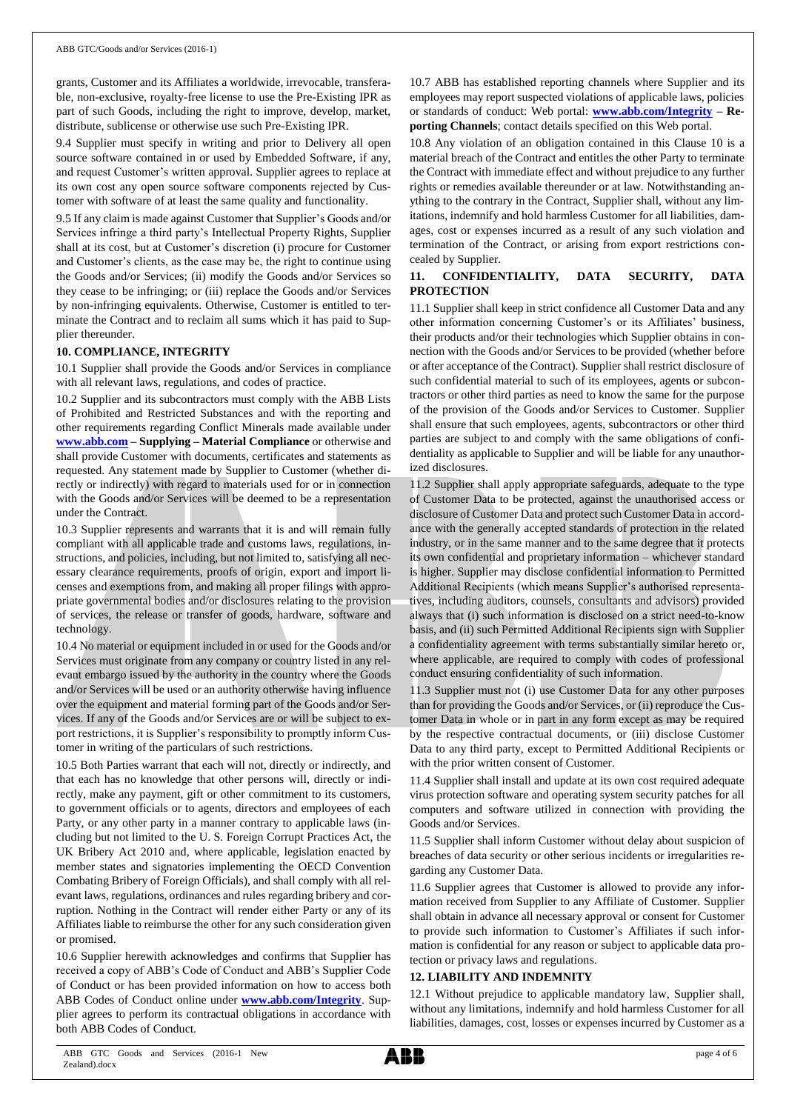grants, Customer and its Affiliates a worldwide, irrevocable, transferable, non-exclusive, royalty-free license to use the Pre-Existing IPR as part of such Goods, including the right to improve, develop, market, distribute, sublicense or otherwise use such Pre-Existing IPR.

9.4 Supplier must specify in writing and prior to Delivery all open source software contained in or used by Embedded Software, if any, and request Customer's written approval. Supplier agrees to replace at its own cost any open source software components rejected by Customer with software of at least the same quality and functionality.

9.5 If any claim is made against Customer that Supplier's Goods and/or Services infringe a third party's Intellectual Property Rights, Supplier shall at its cost, but at Customer's discretion (i) procure for Customer and Customer's clients, as the case may be, the right to continue using the Goods and/or Services; (ii) modify the Goods and/or Services so they cease to be infringing; or (iii) replace the Goods and/or Services by non-infringing equivalents. Otherwise, Customer is entitled to terminate the Contract and to reclaim all sums which it has paid to Supplier thereunder.

## **10. COMPLIANCE, INTEGRITY**

10.1 Supplier shall provide the Goods and/or Services in compliance with all relevant laws, regulations, and codes of practice.

10.2 Supplier and its subcontractors must comply with the ABB Lists of Prohibited and Restricted Substances and with the reporting and other requirements regarding Conflict Minerals made available under **[www.abb.com](http://www.abb.com/) – Supplying – Material Compliance** or otherwise and shall provide Customer with documents, certificates and statements as requested. Any statement made by Supplier to Customer (whether directly or indirectly) with regard to materials used for or in connection with the Goods and/or Services will be deemed to be a representation under the Contract.

10.3 Supplier represents and warrants that it is and will remain fully compliant with all applicable trade and customs laws, regulations, instructions, and policies, including, but not limited to, satisfying all necessary clearance requirements, proofs of origin, export and import licenses and exemptions from, and making all proper filings with appropriate governmental bodies and/or disclosures relating to the provision of services, the release or transfer of goods, hardware, software and technology.

10.4 No material or equipment included in or used for the Goods and/or Services must originate from any company or country listed in any relevant embargo issued by the authority in the country where the Goods and/or Services will be used or an authority otherwise having influence over the equipment and material forming part of the Goods and/or Services. If any of the Goods and/or Services are or will be subject to export restrictions, it is Supplier's responsibility to promptly inform Customer in writing of the particulars of such restrictions.

10.5 Both Parties warrant that each will not, directly or indirectly, and that each has no knowledge that other persons will, directly or indirectly, make any payment, gift or other commitment to its customers, to government officials or to agents, directors and employees of each Party, or any other party in a manner contrary to applicable laws (including but not limited to the U. S. Foreign Corrupt Practices Act, the UK Bribery Act 2010 and, where applicable, legislation enacted by member states and signatories implementing the OECD Convention Combating Bribery of Foreign Officials), and shall comply with all relevant laws, regulations, ordinances and rules regarding bribery and corruption. Nothing in the Contract will render either Party or any of its Affiliates liable to reimburse the other for any such consideration given or promised.

10.6 Supplier herewith acknowledges and confirms that Supplier has received a copy of ABB's Code of Conduct and ABB's Supplier Code of Conduct or has been provided information on how to access both ABB Codes of Conduct online under **[www.abb.com/Integrity](http://www.abb.com/Integrity)**. Supplier agrees to perform its contractual obligations in accordance with both ABB Codes of Conduct.

10.7 ABB has established reporting channels where Supplier and its employees may report suspected violations of applicable laws, policies or standards of conduct: Web portal: **[www.abb.com/Integrity](http://www.abb.com/Integrity) – Reporting Channels**; contact details specified on this Web portal.

10.8 Any violation of an obligation contained in this Clause 10 is a material breach of the Contract and entitles the other Party to terminate the Contract with immediate effect and without prejudice to any further rights or remedies available thereunder or at law. Notwithstanding anything to the contrary in the Contract, Supplier shall, without any limitations, indemnify and hold harmless Customer for all liabilities, damages, cost or expenses incurred as a result of any such violation and termination of the Contract, or arising from export restrictions concealed by Supplier.

# **11. CONFIDENTIALITY, DATA SECURITY, DATA PROTECTION**

11.1 Supplier shall keep in strict confidence all Customer Data and any other information concerning Customer's or its Affiliates' business, their products and/or their technologies which Supplier obtains in connection with the Goods and/or Services to be provided (whether before or after acceptance of the Contract). Supplier shall restrict disclosure of such confidential material to such of its employees, agents or subcontractors or other third parties as need to know the same for the purpose of the provision of the Goods and/or Services to Customer. Supplier shall ensure that such employees, agents, subcontractors or other third parties are subject to and comply with the same obligations of confidentiality as applicable to Supplier and will be liable for any unauthorized disclosures.

11.2 Supplier shall apply appropriate safeguards, adequate to the type of Customer Data to be protected, against the unauthorised access or disclosure of Customer Data and protect such Customer Data in accordance with the generally accepted standards of protection in the related industry, or in the same manner and to the same degree that it protects its own confidential and proprietary information – whichever standard is higher. Supplier may disclose confidential information to Permitted Additional Recipients (which means Supplier's authorised representatives, including auditors, counsels, consultants and advisors) provided always that (i) such information is disclosed on a strict need-to-know basis, and (ii) such Permitted Additional Recipients sign with Supplier a confidentiality agreement with terms substantially similar hereto or, where applicable, are required to comply with codes of professional conduct ensuring confidentiality of such information.

11.3 Supplier must not (i) use Customer Data for any other purposes than for providing the Goods and/or Services, or (ii) reproduce the Customer Data in whole or in part in any form except as may be required by the respective contractual documents, or (iii) disclose Customer Data to any third party, except to Permitted Additional Recipients or with the prior written consent of Customer.

11.4 Supplier shall install and update at its own cost required adequate virus protection software and operating system security patches for all computers and software utilized in connection with providing the Goods and/or Services.

11.5 Supplier shall inform Customer without delay about suspicion of breaches of data security or other serious incidents or irregularities regarding any Customer Data.

11.6 Supplier agrees that Customer is allowed to provide any information received from Supplier to any Affiliate of Customer. Supplier shall obtain in advance all necessary approval or consent for Customer to provide such information to Customer's Affiliates if such information is confidential for any reason or subject to applicable data protection or privacy laws and regulations.

# **12. LIABILITY AND INDEMNITY**

12.1 Without prejudice to applicable mandatory law, Supplier shall, without any limitations, indemnify and hold harmless Customer for all liabilities, damages, cost, losses or expenses incurred by Customer as a

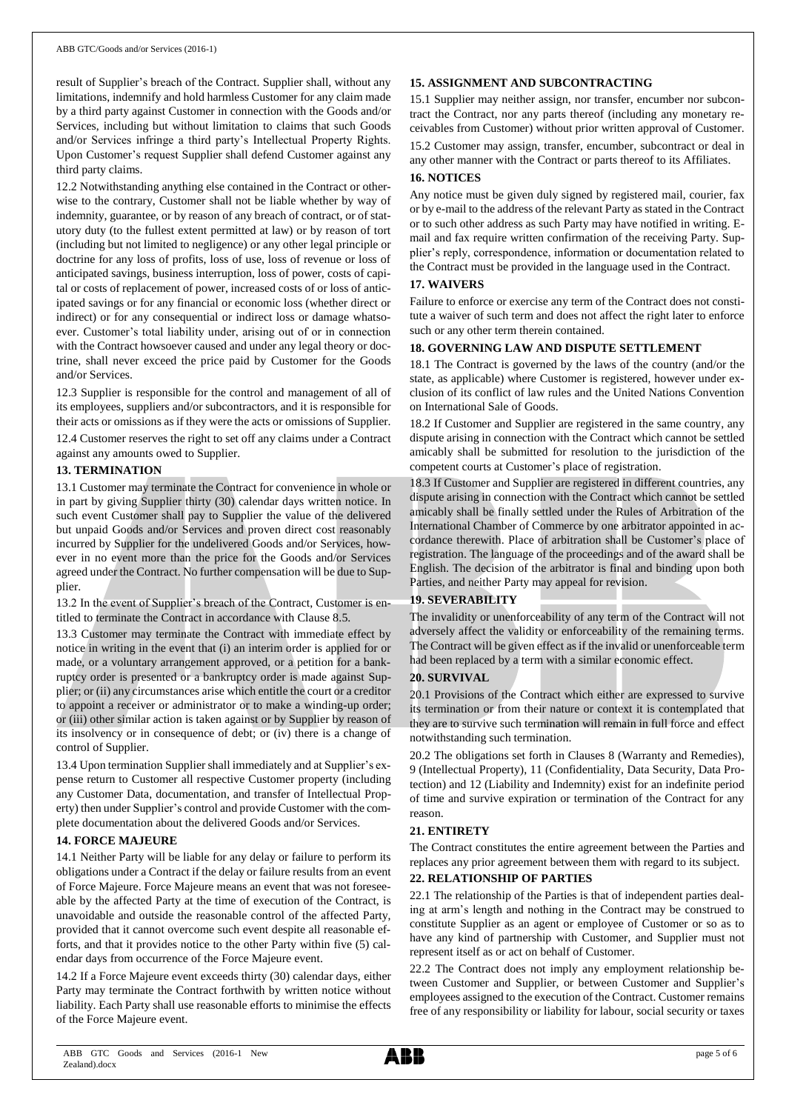result of Supplier's breach of the Contract. Supplier shall, without any limitations, indemnify and hold harmless Customer for any claim made by a third party against Customer in connection with the Goods and/or Services, including but without limitation to claims that such Goods and/or Services infringe a third party's Intellectual Property Rights. Upon Customer's request Supplier shall defend Customer against any third party claims.

12.2 Notwithstanding anything else contained in the Contract or otherwise to the contrary, Customer shall not be liable whether by way of indemnity, guarantee, or by reason of any breach of contract, or of statutory duty (to the fullest extent permitted at law) or by reason of tort (including but not limited to negligence) or any other legal principle or doctrine for any loss of profits, loss of use, loss of revenue or loss of anticipated savings, business interruption, loss of power, costs of capital or costs of replacement of power, increased costs of or loss of anticipated savings or for any financial or economic loss (whether direct or indirect) or for any consequential or indirect loss or damage whatsoever. Customer's total liability under, arising out of or in connection with the Contract howsoever caused and under any legal theory or doctrine, shall never exceed the price paid by Customer for the Goods and/or Services.

12.3 Supplier is responsible for the control and management of all of its employees, suppliers and/or subcontractors, and it is responsible for their acts or omissions as if they were the acts or omissions of Supplier.

12.4 Customer reserves the right to set off any claims under a Contract against any amounts owed to Supplier.

#### **13. TERMINATION**

13.1 Customer may terminate the Contract for convenience in whole or in part by giving Supplier thirty (30) calendar days written notice. In such event Customer shall pay to Supplier the value of the delivered but unpaid Goods and/or Services and proven direct cost reasonably incurred by Supplier for the undelivered Goods and/or Services, however in no event more than the price for the Goods and/or Services agreed under the Contract. No further compensation will be due to Supplier.

13.2 In the event of Supplier's breach of the Contract, Customer is entitled to terminate the Contract in accordance with Clause 8.5.

13.3 Customer may terminate the Contract with immediate effect by notice in writing in the event that (i) an interim order is applied for or made, or a voluntary arrangement approved, or a petition for a bankruptcy order is presented or a bankruptcy order is made against Supplier; or (ii) any circumstances arise which entitle the court or a creditor to appoint a receiver or administrator or to make a winding-up order; or (iii) other similar action is taken against or by Supplier by reason of its insolvency or in consequence of debt; or (iv) there is a change of control of Supplier.

13.4 Upon termination Supplier shall immediately and at Supplier's expense return to Customer all respective Customer property (including any Customer Data, documentation, and transfer of Intellectual Property) then under Supplier's control and provide Customer with the complete documentation about the delivered Goods and/or Services.

#### **14. FORCE MAJEURE**

14.1 Neither Party will be liable for any delay or failure to perform its obligations under a Contract if the delay or failure results from an event of Force Majeure. Force Majeure means an event that was not foreseeable by the affected Party at the time of execution of the Contract, is unavoidable and outside the reasonable control of the affected Party, provided that it cannot overcome such event despite all reasonable efforts, and that it provides notice to the other Party within five (5) calendar days from occurrence of the Force Majeure event.

14.2 If a Force Majeure event exceeds thirty (30) calendar days, either Party may terminate the Contract forthwith by written notice without liability. Each Party shall use reasonable efforts to minimise the effects of the Force Majeure event.

# **15. ASSIGNMENT AND SUBCONTRACTING**

15.1 Supplier may neither assign, nor transfer, encumber nor subcontract the Contract, nor any parts thereof (including any monetary receivables from Customer) without prior written approval of Customer. 15.2 Customer may assign, transfer, encumber, subcontract or deal in any other manner with the Contract or parts thereof to its Affiliates.

## **16. NOTICES**

Any notice must be given duly signed by registered mail, courier, fax or by e-mail to the address of the relevant Party as stated in the Contract or to such other address as such Party may have notified in writing. Email and fax require written confirmation of the receiving Party. Supplier's reply, correspondence, information or documentation related to the Contract must be provided in the language used in the Contract.

# **17. WAIVERS**

Failure to enforce or exercise any term of the Contract does not constitute a waiver of such term and does not affect the right later to enforce such or any other term therein contained.

## **18. GOVERNING LAW AND DISPUTE SETTLEMENT**

18.1 The Contract is governed by the laws of the country (and/or the state, as applicable) where Customer is registered, however under exclusion of its conflict of law rules and the United Nations Convention on International Sale of Goods.

18.2 If Customer and Supplier are registered in the same country, any dispute arising in connection with the Contract which cannot be settled amicably shall be submitted for resolution to the jurisdiction of the competent courts at Customer's place of registration.

18.3 If Customer and Supplier are registered in different countries, any dispute arising in connection with the Contract which cannot be settled amicably shall be finally settled under the Rules of Arbitration of the International Chamber of Commerce by one arbitrator appointed in accordance therewith. Place of arbitration shall be Customer's place of registration. The language of the proceedings and of the award shall be English. The decision of the arbitrator is final and binding upon both Parties, and neither Party may appeal for revision.

#### **19. SEVERABILITY**

The invalidity or unenforceability of any term of the Contract will not adversely affect the validity or enforceability of the remaining terms. The Contract will be given effect as if the invalid or unenforceable term had been replaced by a term with a similar economic effect.

#### **20. SURVIVAL**

20.1 Provisions of the Contract which either are expressed to survive its termination or from their nature or context it is contemplated that they are to survive such termination will remain in full force and effect notwithstanding such termination.

20.2 The obligations set forth in Clauses 8 (Warranty and Remedies), 9 (Intellectual Property), 11 (Confidentiality, Data Security, Data Protection) and 12 (Liability and Indemnity) exist for an indefinite period of time and survive expiration or termination of the Contract for any reason.

#### **21. ENTIRETY**

The Contract constitutes the entire agreement between the Parties and replaces any prior agreement between them with regard to its subject.

# **22. RELATIONSHIP OF PARTIES**

22.1 The relationship of the Parties is that of independent parties dealing at arm's length and nothing in the Contract may be construed to constitute Supplier as an agent or employee of Customer or so as to have any kind of partnership with Customer, and Supplier must not represent itself as or act on behalf of Customer.

22.2 The Contract does not imply any employment relationship between Customer and Supplier, or between Customer and Supplier's employees assigned to the execution of the Contract. Customer remains free of any responsibility or liability for labour, social security or taxes